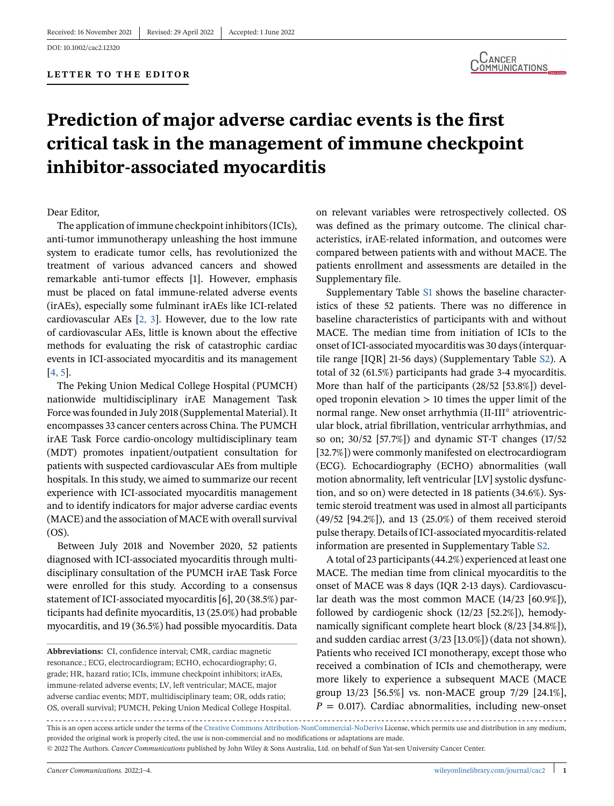

# **Prediction of major adverse cardiac events is the first critical task in the management of immune checkpoint inhibitor-associated myocarditis**

Dear Editor,

The application of immune checkpoint inhibitors (ICIs), anti-tumor immunotherapy unleashing the host immune system to eradicate tumor cells, has revolutionized the treatment of various advanced cancers and showed remarkable anti-tumor effects [1]. However, emphasis must be placed on fatal immune-related adverse events (irAEs), especially some fulminant irAEs like ICI-related cardiovascular AEs [\[2, 3\]](#page-3-0). However, due to the low rate of cardiovascular AEs, little is known about the effective methods for evaluating the risk of catastrophic cardiac events in ICI-associated myocarditis and its management [\[4, 5\]](#page-3-0).

The Peking Union Medical College Hospital (PUMCH) nationwide multidisciplinary irAE Management Task Force was founded in July 2018 (Supplemental Material). It encompasses 33 cancer centers across China. The PUMCH irAE Task Force cardio-oncology multidisciplinary team (MDT) promotes inpatient/outpatient consultation for patients with suspected cardiovascular AEs from multiple hospitals. In this study, we aimed to summarize our recent experience with ICI-associated myocarditis management and to identify indicators for major adverse cardiac events (MACE) and the association of MACE with overall survival (OS).

Between July 2018 and November 2020, 52 patients diagnosed with ICI-associated myocarditis through multidisciplinary consultation of the PUMCH irAE Task Force were enrolled for this study. According to a consensus statement of ICI-associated myocarditis [6], 20 (38.5%) participants had definite myocarditis, 13 (25.0%) had probable myocarditis, and 19 (36.5%) had possible myocarditis. Data

on relevant variables were retrospectively collected. OS was defined as the primary outcome. The clinical characteristics, irAE-related information, and outcomes were compared between patients with and without MACE. The patients enrollment and assessments are detailed in the Supplementary file.

Supplementary Table S1 shows the baseline characteristics of these 52 patients. There was no difference in baseline characteristics of participants with and without MACE. The median time from initiation of ICIs to the onset of ICI-associated myocarditis was 30 days (interquartile range [IQR] 21-56 days) (Supplementary Table S2). A total of 32 (61.5%) participants had grade 3-4 myocarditis. More than half of the participants (28/52 [53.8%]) developed troponin elevation > 10 times the upper limit of the normal range. New onset arrhythmia (II-III◦ atrioventricular block, atrial fibrillation, ventricular arrhythmias, and so on; 30/52 [57.7%]) and dynamic ST-T changes (17/52 [32.7%]) were commonly manifested on electrocardiogram (ECG). Echocardiography (ECHO) abnormalities (wall motion abnormality, left ventricular [LV] systolic dysfunction, and so on) were detected in 18 patients (34.6%). Systemic steroid treatment was used in almost all participants (49/52 [94.2%]), and 13 (25.0%) of them received steroid pulse therapy. Details of ICI-associated myocarditis-related information are presented in Supplementary Table S2.

A total of 23 participants (44.2%) experienced at least one MACE. The median time from clinical myocarditis to the onset of MACE was 8 days (IQR 2-13 days). Cardiovascular death was the most common MACE (14/23 [60.9%]), followed by cardiogenic shock (12/23 [52.2%]), hemodynamically significant complete heart block (8/23 [34.8%]), and sudden cardiac arrest (3/23 [13.0%]) (data not shown). Patients who received ICI monotherapy, except those who received a combination of ICIs and chemotherapy, were more likely to experience a subsequent MACE (MACE group 13/23 [56.5%] vs. non-MACE group 7/29 [24.1%],  $P = 0.017$ ). Cardiac abnormalities, including new-onset

This is an open access article under the terms of the [Creative Commons Attribution-NonCommercial-NoDerivs](http://creativecommons.org/licenses/by-nc-nd/4.0/) License, which permits use and distribution in any medium, provided the original work is properly cited, the use is non-commercial and no modifications or adaptations are made. © 2022 The Authors. *Cancer Communications* published by John Wiley & Sons Australia, Ltd. on behalf of Sun Yat-sen University Cancer Center.

**Abbreviations:** CI, confidence interval; CMR, cardiac magnetic resonance.; ECG, electrocardiogram; ECHO, echocardiography; G, grade; HR, hazard ratio; ICIs, immune checkpoint inhibitors; irAEs, immune-related adverse events; LV, left ventricular; MACE, major adverse cardiac events; MDT, multidisciplinary team; OR, odds ratio; OS, overall survival; PUMCH, Peking Union Medical College Hospital.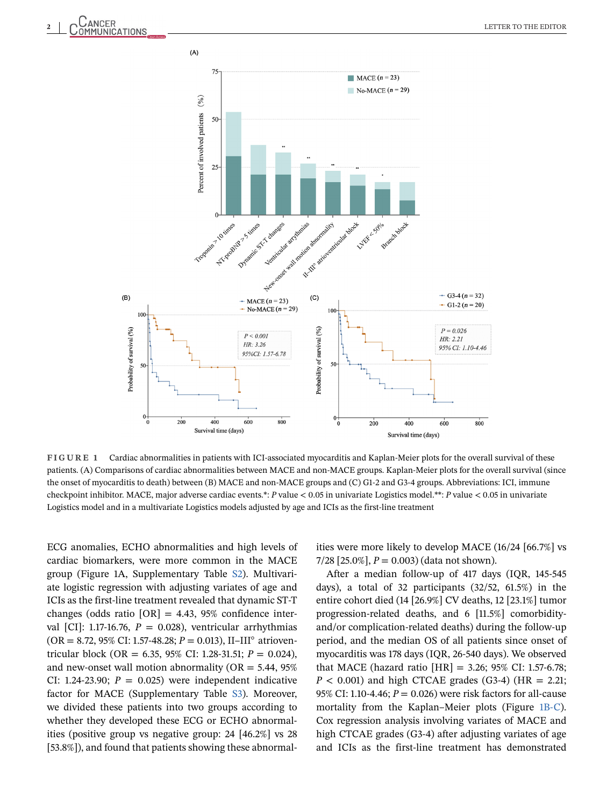



**FIGURE 1** Cardiac abnormalities in patients with ICI-associated myocarditis and Kaplan-Meier plots for the overall survival of these patients. (A) Comparisons of cardiac abnormalities between MACE and non-MACE groups. Kaplan-Meier plots for the overall survival (since the onset of myocarditis to death) between (B) MACE and non-MACE groups and (C) G1-2 and G3-4 groups. Abbreviations: ICI, immune checkpoint inhibitor. MACE, major adverse cardiac events.\*: *P* value < 0.05 in univariate Logistics model.\*\*: *P* value < 0.05 in univariate Logistics model and in a multivariate Logistics models adjusted by age and ICIs as the first-line treatment

ECG anomalies, ECHO abnormalities and high levels of cardiac biomarkers, were more common in the MACE group (Figure 1A, Supplementary Table S2). Multivariate logistic regression with adjusting variates of age and ICIs as the first-line treatment revealed that dynamic ST-T changes (odds ratio  $[OR] = 4.43$ , 95% confidence interval  $\text{[CI]}$ : 1.17-16.76,  $P = 0.028$ ), ventricular arrhythmias (OR = 8.72, 95% CI: 1.57-48.28; *P* = 0.013), II–III◦ atrioventricular block (OR = 6.35, 95% CI: 1.28-31.51; *P* = 0.024), and new-onset wall motion abnormality ( $OR = 5.44$ ,  $95\%$ CI: 1.24-23.90;  $P = 0.025$ ) were independent indicative factor for MACE (Supplementary Table S3). Moreover, we divided these patients into two groups according to whether they developed these ECG or ECHO abnormalities (positive group vs negative group: 24 [46.2%] vs 28 [53.8%]), and found that patients showing these abnormalities were more likely to develop MACE (16/24 [66.7%] vs  $7/28$  [25.0%],  $P = 0.003$ ) (data not shown).

After a median follow-up of 417 days (IQR, 145-545 days), a total of 32 participants (32/52, 61.5%) in the entire cohort died (14 [26.9%] CV deaths, 12 [23.1%] tumor progression-related deaths, and 6 [11.5%] comorbidityand/or complication-related deaths) during the follow-up period, and the median OS of all patients since onset of myocarditis was 178 days (IQR, 26-540 days). We observed that MACE (hazard ratio  $[HR] = 3.26$ ; 95% CI: 1.57-6.78;  $P < 0.001$ ) and high CTCAE grades (G3-4) (HR = 2.21; 95% CI: 1.10-4.46; *P* = 0.026) were risk factors for all-cause mortality from the Kaplan–Meier plots (Figure 1B-C). Cox regression analysis involving variates of MACE and high CTCAE grades (G3-4) after adjusting variates of age and ICIs as the first-line treatment has demonstrated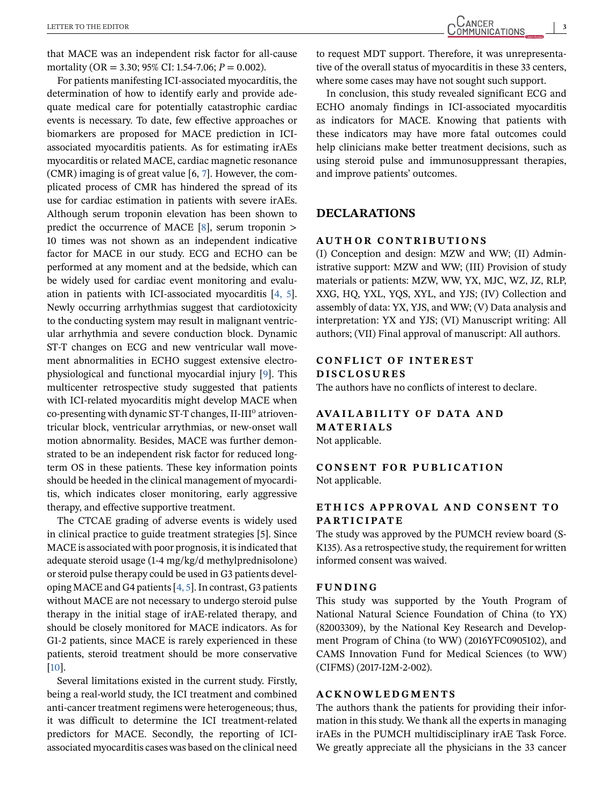that MACE was an independent risk factor for all-cause mortality (OR = 3.30; 95% CI: 1.54-7.06; *P* = 0.002).

For patients manifesting ICI-associated myocarditis, the determination of how to identify early and provide adequate medical care for potentially catastrophic cardiac events is necessary. To date, few effective approaches or biomarkers are proposed for MACE prediction in ICIassociated myocarditis patients. As for estimating irAEs myocarditis or related MACE, cardiac magnetic resonance (CMR) imaging is of great value [6, [7\]](#page-3-0). However, the complicated process of CMR has hindered the spread of its use for cardiac estimation in patients with severe irAEs. Although serum troponin elevation has been shown to predict the occurrence of MACE  $[8]$ , serum troponin > 10 times was not shown as an independent indicative factor for MACE in our study. ECG and ECHO can be performed at any moment and at the bedside, which can be widely used for cardiac event monitoring and evaluation in patients with ICI-associated myocarditis [\[4, 5\]](#page-3-0). Newly occurring arrhythmias suggest that cardiotoxicity to the conducting system may result in malignant ventricular arrhythmia and severe conduction block. Dynamic ST-T changes on ECG and new ventricular wall movement abnormalities in ECHO suggest extensive electrophysiological and functional myocardial injury [\[9\]](#page-3-0). This multicenter retrospective study suggested that patients with ICI-related myocarditis might develop MACE when co-presenting with dynamic ST-T changes, II-III<sup>o</sup> atrioventricular block, ventricular arrythmias, or new-onset wall motion abnormality. Besides, MACE was further demonstrated to be an independent risk factor for reduced longterm OS in these patients. These key information points should be heeded in the clinical management of myocarditis, which indicates closer monitoring, early aggressive therapy, and effective supportive treatment.

The CTCAE grading of adverse events is widely used in clinical practice to guide treatment strategies [5]. Since MACE is associated with poor prognosis, it is indicated that adequate steroid usage (1-4 mg/kg/d methylprednisolone) or steroid pulse therapy could be used in G3 patients developing MACE and G4 patients [\[4, 5\]](#page-3-0). In contrast, G3 patients without MACE are not necessary to undergo steroid pulse therapy in the initial stage of irAE-related therapy, and should be closely monitored for MACE indicators. As for G1-2 patients, since MACE is rarely experienced in these patients, steroid treatment should be more conservative [\[10\]](#page-3-0).

Several limitations existed in the current study. Firstly, being a real-world study, the ICI treatment and combined anti-cancer treatment regimens were heterogeneous; thus, it was difficult to determine the ICI treatment-related predictors for MACE. Secondly, the reporting of ICIassociated myocarditis cases was based on the clinical need

to request MDT support. Therefore, it was unrepresentative of the overall status of myocarditis in these 33 centers, where some cases may have not sought such support.

In conclusion, this study revealed significant ECG and ECHO anomaly findings in ICI-associated myocarditis as indicators for MACE. Knowing that patients with these indicators may have more fatal outcomes could help clinicians make better treatment decisions, such as using steroid pulse and immunosuppressant therapies, and improve patients' outcomes.

# **DECLARATIONS**

### **AUTHOR CONTRIBUTIONS**

(I) Conception and design: MZW and WW; (II) Administrative support: MZW and WW; (III) Provision of study materials or patients: MZW, WW, YX, MJC, WZ, JZ, RLP, XXG, HQ, YXL, YQS, XYL, and YJS; (IV) Collection and assembly of data: YX, YJS, and WW; (V) Data analysis and interpretation: YX and YJS; (VI) Manuscript writing: All authors; (VII) Final approval of manuscript: All authors.

# **CONFLICT OF INTEREST DISCLOSURES**

The authors have no conflicts of interest to declare.

## **AVAILABILITY OF DATA AND MATERIALS** Not applicable.

**CONSENT FOR PUBLICATION** Not applicable.

## **ETH ICS APPROVAL AND CONSENT TO PARTICIPATE**

The study was approved by the PUMCH review board (S-K135). As a retrospective study, the requirement for written informed consent was waived.

#### **FUNDING**

This study was supported by the Youth Program of National Natural Science Foundation of China (to YX) (82003309), by the National Key Research and Development Program of China (to WW) (2016YFC0905102), and CAMS Innovation Fund for Medical Sciences (to WW) (CIFMS) (2017-I2M-2-002).

## **ACKNOWLEDGMENTS**

The authors thank the patients for providing their information in this study. We thank all the experts in managing irAEs in the PUMCH multidisciplinary irAE Task Force. We greatly appreciate all the physicians in the 33 cancer